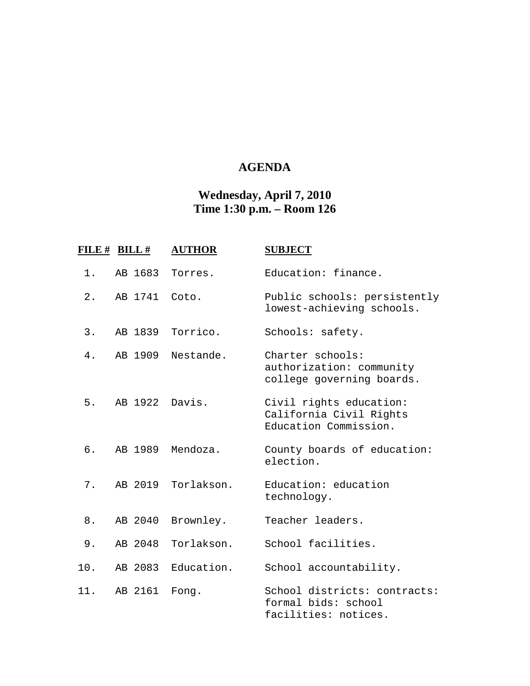## **AGENDA**

## **Wednesday, April 7, 2010 Time 1:30 p.m. – Room 126**

|       | FILE # BILL # | <b>AUTHOR</b>    | <b>SUBJECT</b>                                                              |
|-------|---------------|------------------|-----------------------------------------------------------------------------|
| 1.    | AB 1683       | Torres.          | Education: finance.                                                         |
| $2$ . | AB 1741       | Coto.            | Public schools: persistently<br>lowest-achieving schools.                   |
| 3.    |               | AB 1839 Torrico. | Schools: safety.                                                            |
| 4.    | AB 1909       | Nestande.        | Charter schools:<br>authorization: community<br>college governing boards.   |
| 5.    | AB 1922       | Davis.           | Civil rights education:<br>California Civil Rights<br>Education Commission. |
| б.    |               | AB 1989 Mendoza. | County boards of education:<br>election.                                    |
| 7.    | AB 2019       | Torlakson.       | Education: education<br>technology.                                         |
| 8.    | AB 2040       | Brownley.        | Teacher leaders.                                                            |
| 9.    | AB 2048       | Torlakson.       | School facilities.                                                          |
| 10.   | AB 2083       | Education.       | School accountability.                                                      |
| 11.   | AB 2161       | Fong.            | School districts: contracts:<br>formal bids: school<br>facilities: notices. |